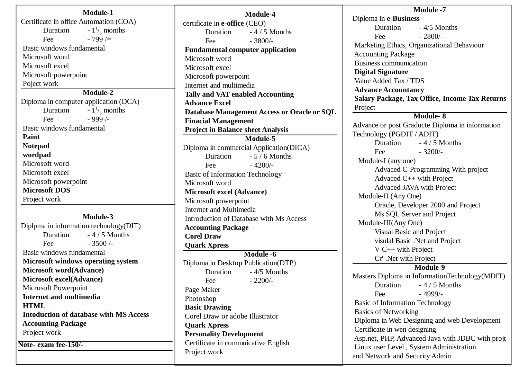**Module-1** Certificate in office Automation (COA) Duration  $/$ , months Fee  $-799/$  Basic windows fundamental Microsoft word Microsoft excel Microsoft powerpoint Poject work **Module-2** Diploma in computer application (DCA) Duration  $/$ , months Fee  $-999/$  Basic windows fundamental **Paint Notepad wordpad** Microsoft word Microsoft excel Microsoft powerpoint **Microsoft DOS** Project work

#### **Module-3**

Diplpma in information technology(DIT) Duration - 4 / 5 Months Fee  $-3500/-$  Basic windows fundamental **Microsoft windows operating system Microsoft word(Advance) Microsoft excel(Advance)** Microsoft Powerpoint **Internet and multimedia HTML Intoduction of database with MS Access Accounting Package** Project work **Note- exam fee-150/-**

**Module-4** certificate in **e-office** (CEO) Duration - 4 / 5 Months Fee  $-3800/-$  **Fundamental computer application** Microsoft word Microsoft excel Microsoft powerpoint Internet and multimedia **Tally and VAT enabled Accounting Advance Excel Database Management Access or Oracle or SQL Finacial Management Project in Balance sheet Analysis Module-5** Diploma in commercial Application(DICA) Duration - 5 / 6 Months Fee  $-4200/-$  Basic of Information Technology Microsoft word **Microsoft excel (Advance)** Microsoft powerpoint Internet and Multimedia Introduction of Database with Ms Access  **Accounting Package Corel Draw Quark Xpress Module -6** Diploma in Desktop Publication(DTP) Duration - 4/5 Months Fee  $-2200/-$  Page Maker Photoshop **Basic Drawing** Corel Draw or adobe Illustrator **Quark Xpress Personality Development** Certificate in commuicative English Project work

**Module -7** Diploma in **e-Business** Duration - 4/5 Months Fee  $-2800/-$  Marketing Ethics, Organizational Behaviour Accounting Package Business communication **Digital Signature** Value Added Tax / TDS **Advance Accountancy Salary Package, Tax Office, Income Tax Returns** Project **Module- 8** Advance or post Graducte Diploma in information Technology (PGDIT / ADIT) Duration - 4 / 5 Months Fee  $-3200/-$  Module-I (any one) Advaced C-Programming With project Advaced C++ with Project Advaced JAVA with Project Module-II (Any One) Oracle, Developer 2000 and Project Ms SQL Server and Project Module-III(Any One) Visual Basic and Project visulal Basic .Net and Project V C++ with Project C# .Net with Project **Module-9** Masters Diploma in InformationTechnology(MDIT) Duration - 4 / 5 Months Fee  $-4999/$ - Basic of Information Technology Basics of Networking Diploma in Web Designing and web Development Certificate in wen designing Asp.net, PHP, Advanced Java with JDBC with projt Linux user Level , System Administration and Network and Security Admin